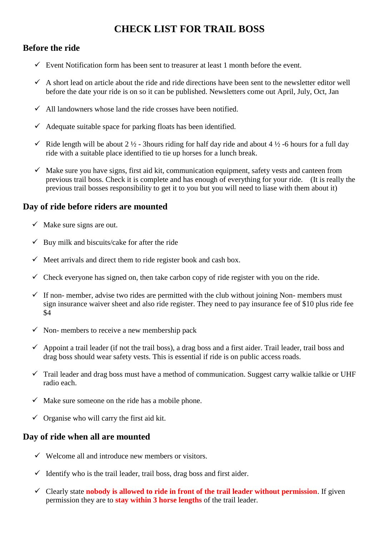# **CHECK LIST FOR TRAIL BOSS**

## **Before the ride**

- $\checkmark$  Event Notification form has been sent to treasurer at least 1 month before the event.
- $\checkmark$  A short lead on article about the ride and ride directions have been sent to the newsletter editor well before the date your ride is on so it can be published. Newsletters come out April, July, Oct, Jan
- $\checkmark$  All landowners whose land the ride crosses have been notified.
- $\checkmark$  Adequate suitable space for parking floats has been identified.
- $\checkmark$  Ride length will be about 2 ½ 3hours riding for half day ride and about 4 ½ -6 hours for a full day ride with a suitable place identified to tie up horses for a lunch break.
- $\checkmark$  Make sure you have signs, first aid kit, communication equipment, safety vests and canteen from previous trail boss. Check it is complete and has enough of everything for your ride. (It is really the previous trail bosses responsibility to get it to you but you will need to liase with them about it)

## **Day of ride before riders are mounted**

- $\checkmark$  Make sure signs are out.
- $\checkmark$  Buy milk and biscuits/cake for after the ride
- $\checkmark$  Meet arrivals and direct them to ride register book and cash box.
- $\checkmark$  Check everyone has signed on, then take carbon copy of ride register with you on the ride.
- $\checkmark$  If non-member, advise two rides are permitted with the club without joining Non-members must sign insurance waiver sheet and also ride register. They need to pay insurance fee of \$10 plus ride fee \$4
- $\checkmark$  Non-members to receive a new membership pack
- $\checkmark$  Appoint a trail leader (if not the trail boss), a drag boss and a first aider. Trail leader, trail boss and drag boss should wear safety vests. This is essential if ride is on public access roads.
- $\checkmark$  Trail leader and drag boss must have a method of communication. Suggest carry walkie talkie or UHF radio each.
- $\checkmark$  Make sure someone on the ride has a mobile phone.
- $\checkmark$  Organise who will carry the first aid kit.

#### **Day of ride when all are mounted**

- $\checkmark$  Welcome all and introduce new members or visitors.
- $\checkmark$  Identify who is the trail leader, trail boss, drag boss and first aider.
- Clearly state **nobody is allowed to ride in front of the trail leader without permission**. If given permission they are to **stay within 3 horse lengths** of the trail leader.